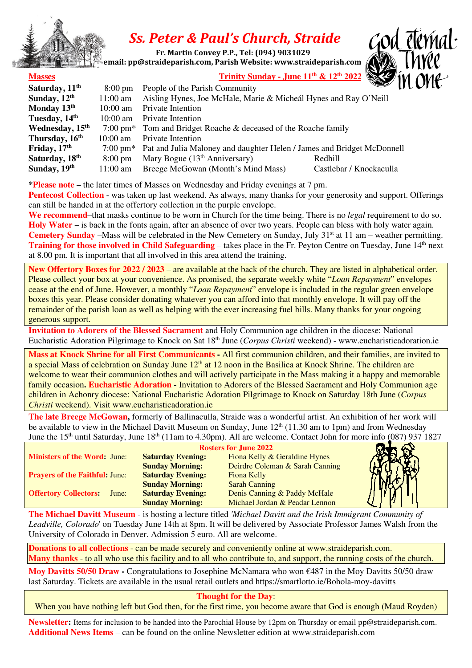

## *Ss. Peter & Paul's Church, Straide*

 **Fr. Martin Convey P.P., Tel: (094) 9031029** 

 **email: pp@straideparish.com, Parish Website: www.straideparish.com**



| Frinity Sunday - June 11 <sup>th</sup> & |  |  |
|------------------------------------------|--|--|

| <b>Masses</b>               |                    |                                                                                                                                          |                         |  |
|-----------------------------|--------------------|------------------------------------------------------------------------------------------------------------------------------------------|-------------------------|--|
| Saturday, 11 <sup>th</sup>  | $8:00 \text{ pm}$  | $\frac{\text{Trinity Sunday - June 11}^{\text{th}} \& 12^{\text{th}} 2022}{\text{Common}^{\text{th}}}$<br>People of the Parish Community |                         |  |
| Sunday, 12th                | $11:00$ am         | Aisling Hynes, Joe McHale, Marie & Micheál Hynes and Ray O'Neill                                                                         |                         |  |
| Monday 13th                 | $10:00$ am         | Private Intention                                                                                                                        |                         |  |
| Tuesday, 14 <sup>th</sup>   | $10:00 \text{ am}$ | Private Intention                                                                                                                        |                         |  |
| Wednesday, 15 <sup>th</sup> |                    | 7:00 pm <sup>*</sup> Tom and Bridget Roache & deceased of the Roache family                                                              |                         |  |
| Thursday, 16 <sup>th</sup>  | $10:00 \text{ am}$ | Private Intention                                                                                                                        |                         |  |
| Friday, 17 <sup>th</sup>    | $7:00 \text{ pm*}$ | Pat and Julia Maloney and daughter Helen / James and Bridget McDonnell                                                                   |                         |  |
| Saturday, 18 <sup>th</sup>  | $8:00 \text{ pm}$  | Mary Bogue $(13th$ Anniversary)                                                                                                          | Redhill                 |  |
| Sunday, 19th                | $11:00$ am         | Breege McGowan (Month's Mind Mass)                                                                                                       | Castlebar / Knockaculla |  |

**\*Please note** – the later times of Masses on Wednesday and Friday evenings at 7 pm.

**Pentecost Collection** - was taken up last weekend. As always, many thanks for your generosity and support. Offerings can still be handed in at the offertory collection in the purple envelope.

**We recommend**–that masks continue to be worn in Church for the time being. There is no *legal* requirement to do so. **Holy Water** – is back in the fonts again, after an absence of over two years. People can bless with holy water again. **Cemetery Sunday** –Mass will be celebrated in the New Cemetery on Sunday, July 31<sup>st</sup> at 11 am – weather permitting. **Training for those involved in Child Safeguarding** – takes place in the Fr. Peyton Centre on Tuesday, June 14<sup>th</sup> next at 8.00 pm. It is important that all involved in this area attend the training.

**New Offertory Boxes for 2022 / 2023** – are available at the back of the church. They are listed in alphabetical order. Please collect your box at your convenience. As promised, the separate weekly white "*Loan Repayment*" envelopes cease at the end of June. However, a monthly "*Loan Repayment*" envelope is included in the regular green envelope boxes this year. Please consider donating whatever you can afford into that monthly envelope. It will pay off the remainder of the parish loan as well as helping with the ever increasing fuel bills. Many thanks for your ongoing generous support.

**Invitation to Adorers of the Blessed Sacrament** and Holy Communion age children in the diocese: National Eucharistic Adoration Pilgrimage to Knock on Sat 18th June (*Corpus Christi* weekend) - www.eucharisticadoration.ie

**Mass at Knock Shrine for all First Communicants -** All first communion children, and their families, are invited to a special Mass of celebration on Sunday June 12<sup>th</sup> at 12 noon in the Basilica at Knock Shrine. The children are welcome to wear their communion clothes and will actively participate in the Mass making it a happy and memorable family occasion**. Eucharistic Adoration -** Invitation to Adorers of the Blessed Sacrament and Holy Communion age children in Achonry diocese: National Eucharistic Adoration Pilgrimage to Knock on Saturday 18th June (*Corpus Christi* weekend). Visit www.eucharisticadoration.ie

**The late Breege McGowan,** formerly of Ballinaculla, Straide was a wonderful artist. An exhibition of her work will be available to view in the Michael Davitt Museum on Sunday, June 12<sup>th</sup> (11.30 am to 1pm) and from Wednesday June the 15<sup>th</sup> until Saturday, June 18<sup>th</sup> (11am to 4.30pm). All are welcome. Contact John for more info (087) 937 1827

| Ministers of the Word: June:          | <b>Saturday Evening:</b> | Fiona Kelly & Geraldine Hynes   |  |
|---------------------------------------|--------------------------|---------------------------------|--|
|                                       | <b>Sunday Morning:</b>   | Deirdre Coleman & Sarah Canning |  |
| <b>Prayers of the Faithful: June:</b> | <b>Saturday Evening:</b> | Fiona Kelly                     |  |
|                                       | <b>Sunday Morning:</b>   | <b>Sarah Canning</b>            |  |
| <b>Offertory Collectors:</b><br>June: | <b>Saturday Evening:</b> | Denis Canning & Paddy McHale    |  |
|                                       | <b>Sunday Morning:</b>   | Michael Jordan & Peadar Lennon  |  |

**The Michael Davitt Museum** - is hosting a lecture titled *'Michael Davitt and the Irish Immigrant Community of Leadville, Colorado*' on Tuesday June 14th at 8pm. It will be delivered by Associate Professor James Walsh from the University of Colorado in Denver. Admission 5 euro. All are welcome.

**Donations to all collections** - can be made securely and conveniently online at www.straideparish.com. **Many thanks** - to all who use this facility and to all who contribute to, and support, the running costs of the church.

**Moy Davitts 50/50 Draw -** Congratulations to Josephine McNamara who won €487 in the Moy Davitts 50/50 draw last Saturday. Tickets are available in the usual retail outlets and https://smartlotto.ie/Bohola-moy-davitts

## **Thought for the Day**:

When you have nothing left but God then, for the first time, you become aware that God is enough (Maud Royden)

**Newsletter:** Items for inclusion to be handed into the Parochial House by 12pm on Thursday or email pp@straideparish.com. **Additional News Items** – can be found on the online Newsletter edition at www.straideparish.com